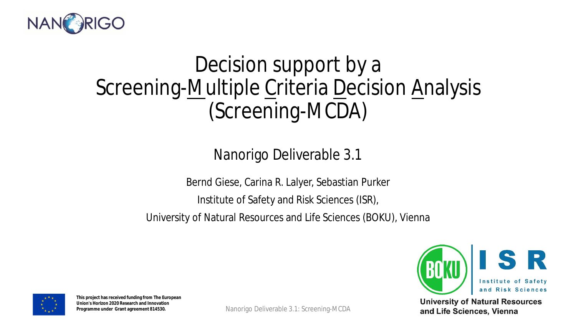

#### Decision support by a Screening-Multiple Criteria Decision Analysis (Screening-MCDA)

#### Nanorigo Deliverable 3.1

Bernd Giese, Carina R. Lalyer, Sebastian Purker

Institute of Safety and Risk Sciences (ISR),

University of Natural Resources and Life Sciences (BOKU), Vienna



**University of Natural Resources** 



Nanorigo Deliverable 3.1: Screening-MCDA 1997 and Life Sciences, Vienna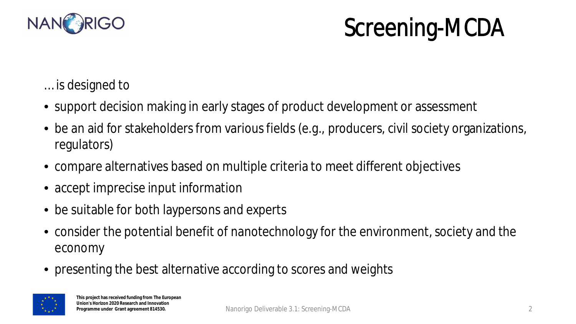

### Screening-MCDA

- … is designed to
- support decision making in early stages of product development or assessment
- be an aid for stakeholders from various fields (e.g., producers, civil society organizations, regulators)
- compare alternatives based on multiple criteria to meet different objectives
- accept imprecise input information
- be suitable for both laypersons and experts
- consider the potential benefit of nanotechnology for the environment, society and the economy
- presenting the best alternative according to scores and weights

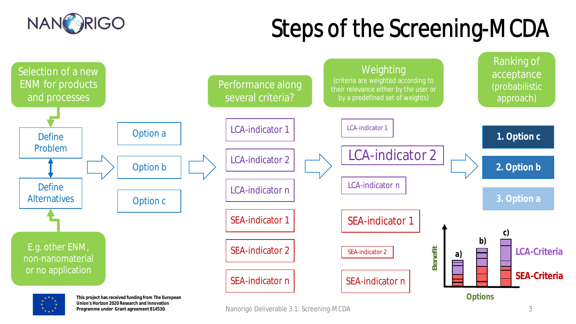# Steps of the Screening-MCDA





**Union's Horizon 2020 Research and Innovation Programme under Grant agreement 814530.**

Nanorigo Deliverable 3.1: Screening-MCDA 3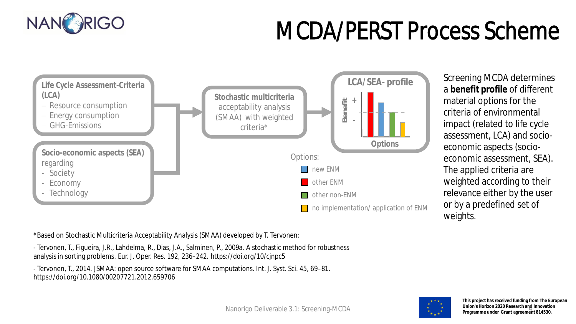

## MCDA/PERST Process Scheme



Screening MCDA determines a **benefit profile** of different material options for the criteria of environmental impact (related to life cycle assessment, LCA) and socioeconomic aspects (socioeconomic assessment, SEA). The applied criteria are weighted according to their relevance either by the user or by a predefined set of weights.

\*Based on Stochastic Multicriteria Acceptability Analysis (SMAA) developed by T. Tervonen:

- Tervonen, T., Figueira, J.R., Lahdelma, R., Dias, J.A., Salminen, P., 2009a. A stochastic method for robustness analysis in sorting problems. Eur. J. Oper. Res. 192, 236–242. https://doi.org/10/cjnpc5

- Tervonen, T., 2014. JSMAA: open source software for SMAA computations. Int. J. Syst. Sci. 45, 69–81. https://doi.org/10.1080/00207721.2012.659706

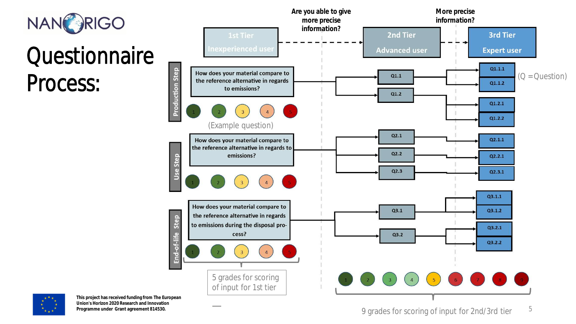

#### **Questionnaire** Process:



**This project has received funding from The European Union's Horizon 2020 Research and Innovation Programme under Grant agreement 814530.**

9 grades for scoring of input for 2nd/3rd tier  $15$